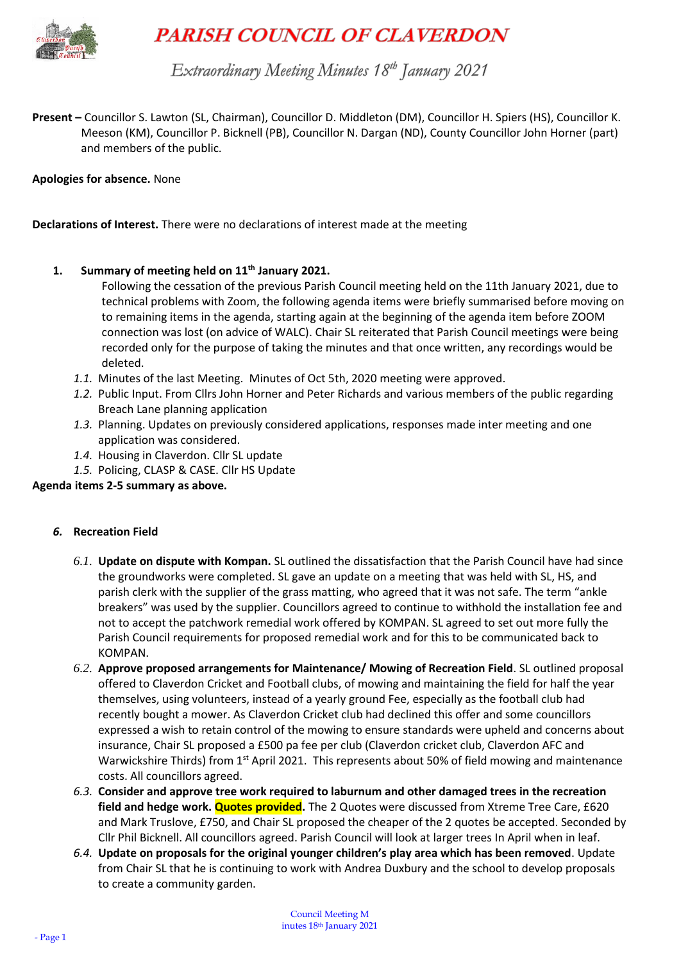

# **PARISH COUNCIL OF CLAVERDON**

Extraordinary Meeting Minutes 18<sup>th</sup> January 2021

**Present –** Councillor S. Lawton (SL, Chairman), Councillor D. Middleton (DM), Councillor H. Spiers (HS), Councillor K. Meeson (KM), Councillor P. Bicknell (PB), Councillor N. Dargan (ND), County Councillor John Horner (part) and members of the public.

**Apologies for absence.** None

**Declarations of Interest.** There were no declarations of interest made at the meeting

## **1. Summary of meeting held on 11th January 2021.**

- Following the cessation of the previous Parish Council meeting held on the 11th January 2021, due to technical problems with Zoom, the following agenda items were briefly summarised before moving on to remaining items in the agenda, starting again at the beginning of the agenda item before ZOOM connection was lost (on advice of WALC). Chair SL reiterated that Parish Council meetings were being recorded only for the purpose of taking the minutes and that once written, any recordings would be deleted.
- *1.1.* Minutes of the last Meeting. Minutes of Oct 5th, 2020 meeting were approved.
- *1.2.* Public Input. From Cllrs John Horner and Peter Richards and various members of the public regarding Breach Lane planning application
- *1.3.* Planning. Updates on previously considered applications, responses made inter meeting and one application was considered.
- *1.4.* Housing in Claverdon. Cllr SL update
- *1.5.* Policing, CLASP & CASE. Cllr HS Update

#### **Agenda items 2-5 summary as above.**

- *6.* **Recreation Field**
	- *6.1.* **Update on dispute with Kompan.** SL outlined the dissatisfaction that the Parish Council have had since the groundworks were completed. SL gave an update on a meeting that was held with SL, HS, and parish clerk with the supplier of the grass matting, who agreed that it was not safe. The term "ankle breakers" was used by the supplier. Councillors agreed to continue to withhold the installation fee and not to accept the patchwork remedial work offered by KOMPAN. SL agreed to set out more fully the Parish Council requirements for proposed remedial work and for this to be communicated back to KOMPAN.
	- *6.2.* **Approve proposed arrangements for Maintenance/ Mowing of Recreation Field**. SL outlined proposal offered to Claverdon Cricket and Football clubs, of mowing and maintaining the field for half the year themselves, using volunteers, instead of a yearly ground Fee, especially as the football club had recently bought a mower. As Claverdon Cricket club had declined this offer and some councillors expressed a wish to retain control of the mowing to ensure standards were upheld and concerns about insurance, Chair SL proposed a £500 pa fee per club (Claverdon cricket club, Claverdon AFC and Warwickshire Thirds) from 1<sup>st</sup> April 2021. This represents about 50% of field mowing and maintenance costs. All councillors agreed.
	- *6.3.* **Consider and approve tree work required to laburnum and other damaged trees in the recreation field and hedge work. Quotes provided.** The 2 Quotes were discussed from Xtreme Tree Care, £620 and Mark Truslove, £750, and Chair SL proposed the cheaper of the 2 quotes be accepted. Seconded by Cllr Phil Bicknell. All councillors agreed. Parish Council will look at larger trees In April when in leaf.
	- *6.4.* **Update on proposals for the original younger children's play area which has been removed**. Update from Chair SL that he is continuing to work with Andrea Duxbury and the school to develop proposals to create a community garden.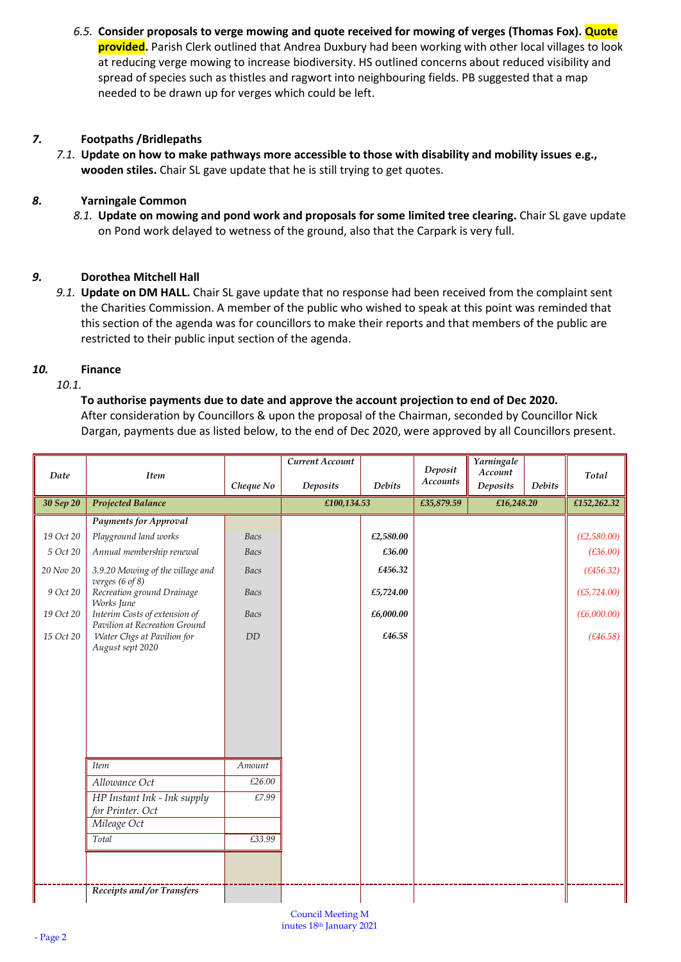*6.5.* **Consider proposals to verge mowing and quote received for mowing of verges (Thomas Fox). Quote provided.** Parish Clerk outlined that Andrea Duxbury had been working with other local villages to look at reducing verge mowing to increase biodiversity. HS outlined concerns about reduced visibility and spread of species such as thistles and ragwort into neighbouring fields. PB suggested that a map needed to be drawn up for verges which could be left.

## *7.* **Footpaths /Bridlepaths**

*7.1.* **Update on how to make pathways more accessible to those with disability and mobility issues e.g., wooden stiles.** Chair SL gave update that he is still trying to get quotes.

#### *8.* **Yarningale Common**

*8.1.* **Update on mowing and pond work and proposals for some limited tree clearing.** Chair SL gave update on Pond work delayed to wetness of the ground, also that the Carpark is very full.

#### *9.* **Dorothea Mitchell Hall**

*9.1.* **Update on DM HALL.** Chair SL gave update that no response had been received from the complaint sent the Charities Commission. A member of the public who wished to speak at this point was reminded that this section of the agenda was for councillors to make their reports and that members of the public are restricted to their public input section of the agenda.

#### *10.* **Finance**

#### *10.1.*

#### **To authorise payments due to date and approve the account projection to end of Dec 2020.**

After consideration by Councillors & upon the proposal of the Chairman, seconded by Councillor Nick Dargan, payments due as listed below, to the end of Dec 2020, were approved by all Councillors present.

| Date      | <b>Item</b>                                                    |             | Current Account |               | Deposit<br><b>Accounts</b> | Yarningale<br>Account |               | Total        |
|-----------|----------------------------------------------------------------|-------------|-----------------|---------------|----------------------------|-----------------------|---------------|--------------|
|           |                                                                | Cheque No   | <b>Deposits</b> | <b>Debits</b> |                            | <b>Deposits</b>       | <b>Debits</b> |              |
| 30 Sep 20 | <b>Projected Balance</b>                                       |             | £100,134.53     |               | £35,879.59                 | £16,248.20            |               | £152,262.32  |
|           | <b>Payments for Approval</b>                                   |             |                 |               |                            |                       |               |              |
| 19 Oct 20 | Playground land works                                          | Bacs        |                 | £2,580.00     |                            |                       |               | (E2,580.00)  |
| 5 Oct 20  | Annual membership renewal                                      | Bacs        |                 | £36.00        |                            |                       |               | (E36.00)     |
| 20 Nov 20 | 3.9.20 Mowing of the village and<br>verges (6 of 8)            | Bacs        |                 | £456.32       |                            |                       |               | (E456.32)    |
| 9 Oct 20  | Recreation ground Drainage<br>Works June                       | <b>Bacs</b> |                 | £5,724.00     |                            |                       |               | (E5, 724.00) |
| 19 Oct 20 | Interim Costs of extension of<br>Pavilion at Recreation Ground | <b>Bacs</b> |                 | £6,000.00     |                            |                       |               | (E6,000.00)  |
| 15 Oct 20 | Water Chgs at Pavilion for<br>August sept 2020                 | DD          |                 | £46.58        |                            |                       |               | (E46.58)     |
|           |                                                                |             |                 |               |                            |                       |               |              |
|           |                                                                |             |                 |               |                            |                       |               |              |
|           |                                                                |             |                 |               |                            |                       |               |              |
|           |                                                                |             |                 |               |                            |                       |               |              |
|           |                                                                |             |                 |               |                            |                       |               |              |
|           | <b>Item</b>                                                    | Amount      |                 |               |                            |                       |               |              |
|           | Allowance Oct                                                  | £26.00      |                 |               |                            |                       |               |              |
|           | $\overline{HP}$ Instant Ink - Ink supply<br>for Printer. Oct   | £7.99       |                 |               |                            |                       |               |              |
|           | Mileage Oct                                                    |             |                 |               |                            |                       |               |              |
|           | Total                                                          | £33.99      |                 |               |                            |                       |               |              |
|           |                                                                |             |                 |               |                            |                       |               |              |
|           | Receipts and /or Transfers                                     |             |                 |               |                            |                       |               |              |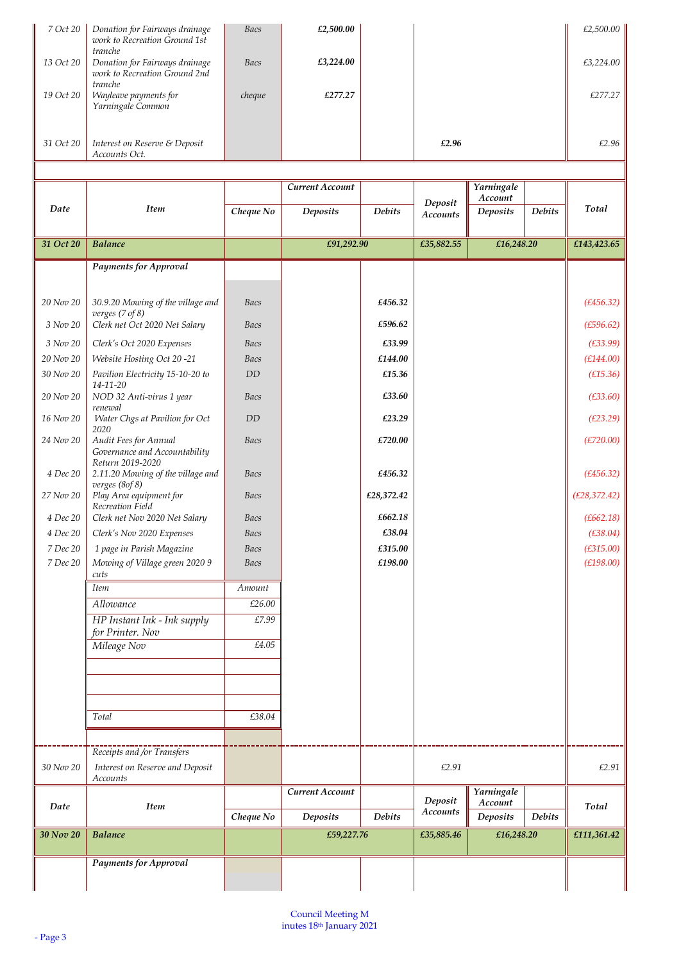| 7 Oct 20     | Donation for Fairways drainage<br>work to Recreation Ground 1st            | Bacs           | £2,500.00       |               |                            |                       |               | £2,500.00     |
|--------------|----------------------------------------------------------------------------|----------------|-----------------|---------------|----------------------------|-----------------------|---------------|---------------|
| 13 Oct 20    | tranche<br>Donation for Fairways drainage<br>work to Recreation Ground 2nd | Bacs           | £3,224.00       |               |                            |                       |               | £3,224.00     |
| 19 Oct 20    | tranche<br>Wayleave payments for<br>Yarningale Common                      | cheque         | £277.27         |               |                            |                       |               | £277.27       |
| 31 Oct 20    | Interest on Reserve & Deposit<br>Accounts Oct.                             |                |                 |               | £2.96                      |                       |               | £2.96         |
|              |                                                                            |                |                 |               |                            |                       |               |               |
|              |                                                                            |                | Current Account |               |                            | Yarningale            |               |               |
| Date         | <b>Item</b>                                                                | Cheque No      | <b>Deposits</b> | <b>Debits</b> | Deposit<br><b>Accounts</b> | Account<br>Deposits   | Debits        | Total         |
| 31 Oct 20    | <b>Balance</b>                                                             |                | £91,292.90      |               | £35,882.55                 | £16,248.20            |               | £143,423.65   |
|              |                                                                            |                |                 |               |                            |                       |               |               |
|              | <b>Payments for Approval</b>                                               |                |                 |               |                            |                       |               |               |
|              |                                                                            |                |                 |               |                            |                       |               |               |
| 20 Nov 20    | 30.9.20 Mowing of the village and<br>verges $(7 of 8)$                     | <b>Bacs</b>    |                 | £456.32       |                            |                       |               | (E456.32)     |
| 3 Nov 20     | Clerk net Oct 2020 Net Salary                                              | Bacs           |                 | £596.62       |                            |                       |               | (E596.62)     |
| 3 Nov 20     | Clerk's Oct 2020 Expenses                                                  | Bacs           |                 | £33.99        |                            |                       |               | (E33.99)      |
| 20 Nov 20    | Website Hosting Oct 20-21                                                  | Bacs           |                 | £144.00       |                            |                       |               | (E144.00)     |
| 30 Nov 20    | Pavilion Electricity 15-10-20 to                                           | DD             |                 | £15.36        |                            |                       |               | (E15.36)      |
| 20 Nov 20    | $14 - 11 - 20$<br>NOD 32 Anti-virus 1 year<br>renewal                      | <b>Bacs</b>    |                 | £33.60        |                            |                       |               | (E33.60)      |
| 16 Nov 20    | Water Chgs at Pavilion for Oct                                             | DD             |                 | £23.29        |                            |                       |               | (E23.29)      |
| 24 Nov 20    | 2020<br>Audit Fees for Annual<br>Governance and Accountability             | Bacs           |                 | £720.00       |                            |                       |               | (E720.00)     |
| 4 Dec 20     | Return 2019-2020<br>2.11.20 Mowing of the village and<br>verges (8of 8)    | Bacs           |                 | £456.32       |                            |                       |               | (E456.32)     |
| 27 Nov 20    | Play Area equipment for                                                    | Bacs           |                 | £28,372.42    |                            |                       |               | (E28, 372.42) |
| 4 Dec 20     | Recreation Field<br>Clerk net Nov 2020 Net Salary                          | <b>Bacs</b>    |                 | £662.18       |                            |                       |               | (E662.18)     |
| $4\;Dec\;20$ | Clerk's Nov 2020 Expenses                                                  | Bacs           |                 | £38.04        |                            |                       |               | (E38.04)      |
| 7 Dec 20     | 1 page in Parish Magazine                                                  | Bacs           |                 | £315.00       |                            |                       |               | (E315.00)     |
| 7 Dec 20     | Mowing of Village green 2020 9<br>cuts                                     | <b>Bacs</b>    |                 | £198.00       |                            |                       |               | (E198.00)     |
|              | Item                                                                       | Amount         |                 |               |                            |                       |               |               |
|              | Allowance                                                                  | £26.00         |                 |               |                            |                       |               |               |
|              | HP Instant Ink - Ink supply<br>for Printer. Nov                            | £7.99<br>£4.05 |                 |               |                            |                       |               |               |
|              | Mileage Nov                                                                |                |                 |               |                            |                       |               |               |
|              |                                                                            |                |                 |               |                            |                       |               |               |
|              | Total                                                                      | £38.04         |                 |               |                            |                       |               |               |
|              | Receipts and /or Transfers                                                 |                |                 |               |                            |                       |               |               |
| 30 Nov 20    | Interest on Reserve and Deposit<br>Accounts                                |                |                 |               | £2.91                      |                       |               | £2.91         |
|              |                                                                            |                | Current Account |               | Deposit                    | Yarningale<br>Account |               |               |
| Date         | <b>Item</b>                                                                | Cheque No      | Deposits        | <b>Debits</b> | Accounts                   | Deposits              | <b>Debits</b> | Total         |
| 30 Nov 20    | <b>Balance</b>                                                             |                | £59,227.76      |               | £35,885.46                 | £16,248.20            |               | £111,361.42   |
|              |                                                                            |                |                 |               |                            |                       |               |               |
|              | <b>Payments for Approval</b>                                               |                |                 |               |                            |                       |               |               |
|              |                                                                            |                |                 |               |                            |                       |               |               |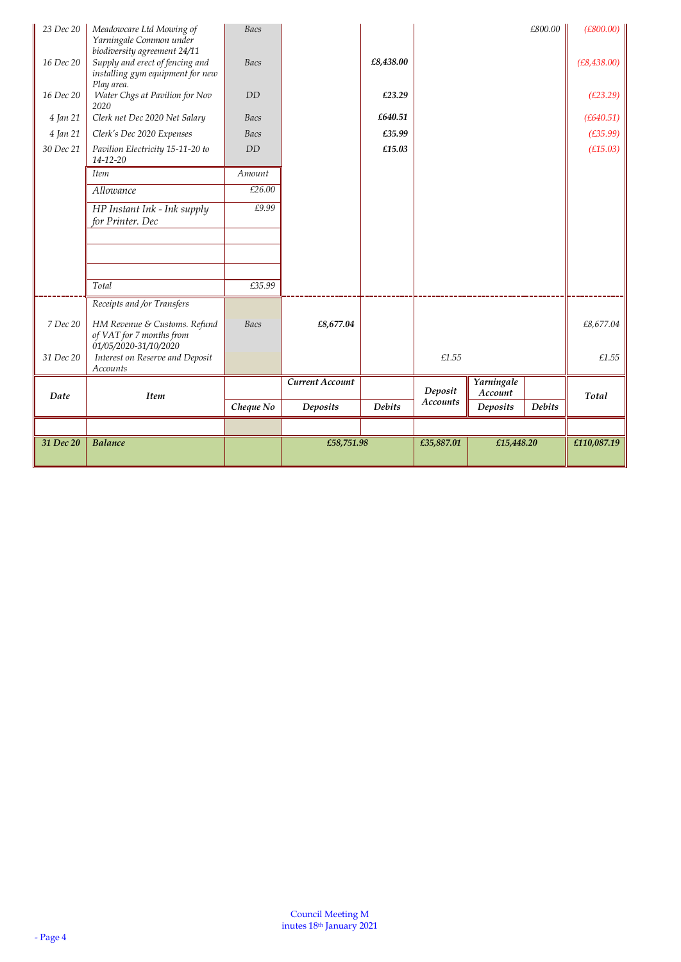| 23 Dec 20 | Meadowcare Ltd Mowing of                                                                                                       | <b>Bacs</b> |                 |               |                            |                 | £800.00       | (E800.00)    |
|-----------|--------------------------------------------------------------------------------------------------------------------------------|-------------|-----------------|---------------|----------------------------|-----------------|---------------|--------------|
| 16 Dec 20 | Yarningale Common under<br>biodiversity agreement 24/11<br>Supply and erect of fencing and<br>installing gym equipment for new | Bacs        |                 | £8,438.00     |                            |                 |               | (E8, 438.00) |
| 16 Dec 20 | Play area.<br>Water Chgs at Pavilion for Nov<br>2020                                                                           | <b>DD</b>   |                 | £23.29        |                            |                 |               | (E23.29)     |
| 4 Jan 21  | Clerk net Dec 2020 Net Salary                                                                                                  | Bacs        |                 | £640.51       |                            |                 |               | (E640.51)    |
| 4 Jan 21  | Clerk's Dec 2020 Expenses                                                                                                      | Bacs        |                 | £35.99        |                            |                 |               | (E35.99)     |
| 30 Dec 21 | Pavilion Electricity 15-11-20 to<br>$14 - 12 - 20$                                                                             | DD          |                 | £15.03        |                            |                 |               | (E15.03)     |
|           | <b>Item</b>                                                                                                                    | Amount      |                 |               |                            |                 |               |              |
|           | Allowance                                                                                                                      | £26.00      |                 |               |                            |                 |               |              |
|           | HP Instant Ink - Ink supply<br>for Printer. Dec                                                                                | £9.99       |                 |               |                            |                 |               |              |
|           |                                                                                                                                |             |                 |               |                            |                 |               |              |
|           |                                                                                                                                |             |                 |               |                            |                 |               |              |
|           |                                                                                                                                |             |                 |               |                            |                 |               |              |
|           | Total                                                                                                                          | £35.99      |                 |               |                            |                 |               |              |
|           | Receipts and /or Transfers                                                                                                     |             |                 |               |                            |                 |               |              |
| 7 Dec 20  | HM Revenue & Customs. Refund<br>of VAT for 7 months from                                                                       | Bacs        | £8,677.04       |               |                            |                 |               | £8,677.04    |
| 31 Dec 20 | 01/05/2020-31/10/2020<br>Interest on Reserve and Deposit<br>Accounts                                                           |             |                 |               | £1.55                      |                 |               | £1.55        |
|           |                                                                                                                                |             | Current Account |               |                            | Yarningale      |               |              |
| Date      | <b>Item</b>                                                                                                                    |             |                 | <b>Debits</b> | Deposit<br><b>Accounts</b> | Account         | <b>Debits</b> | Total        |
|           |                                                                                                                                | Cheque No   | <b>Deposits</b> |               |                            | <b>Deposits</b> |               |              |
|           |                                                                                                                                |             |                 |               |                            |                 |               |              |
| 31 Dec 20 | <b>Balance</b>                                                                                                                 |             | £58,751.98      |               | £35,887.01                 | £15,448.20      |               | £110,087.19  |
|           |                                                                                                                                |             |                 |               |                            |                 |               |              |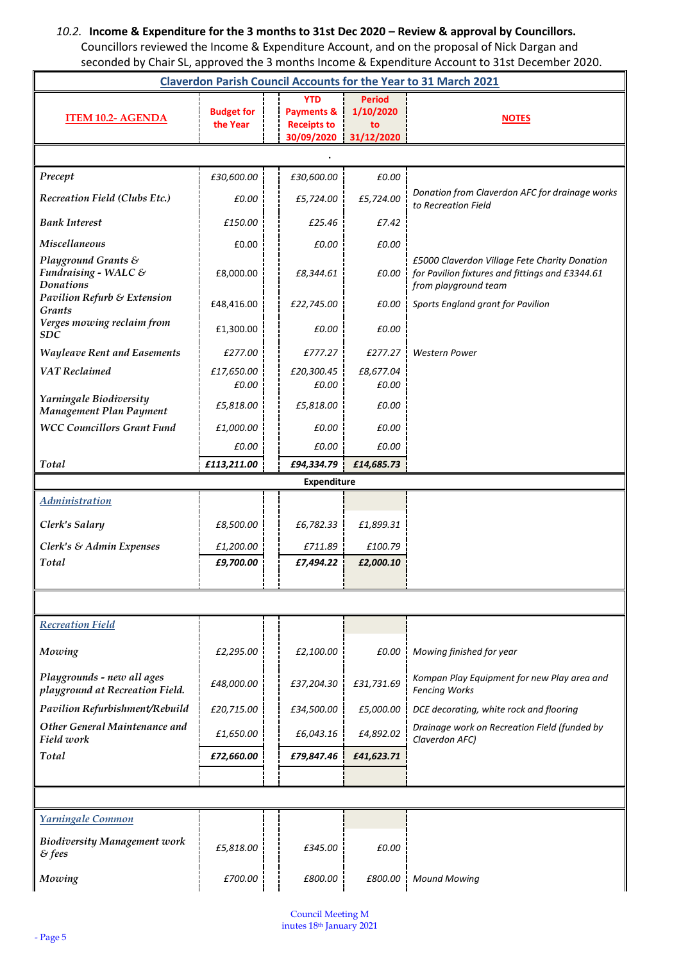# *10.2.* **Income & Expenditure for the 3 months to 31st Dec 2020 – Review & approval by Councillors.**  Councillors reviewed the Income & Expenditure Account, and on the proposal of Nick Dargan and

| seconded by Chair SL, approved the 3 months Income & Expenditure Account to 31st December 2020. |                               |                                             |                  |                                                                                                                          |  |  |  |  |
|-------------------------------------------------------------------------------------------------|-------------------------------|---------------------------------------------|------------------|--------------------------------------------------------------------------------------------------------------------------|--|--|--|--|
| <b>Claverdon Parish Council Accounts for the Year to 31 March 2021</b>                          |                               |                                             |                  |                                                                                                                          |  |  |  |  |
|                                                                                                 |                               | YTD                                         | <b>Period</b>    |                                                                                                                          |  |  |  |  |
| <b>ITEM 10.2- AGENDA</b>                                                                        | <b>Budget for</b><br>the Year | <b>Payments &amp;</b><br><b>Receipts to</b> | 1/10/2020        | <b>NOTES</b>                                                                                                             |  |  |  |  |
|                                                                                                 |                               | 30/09/2020                                  | to<br>31/12/2020 |                                                                                                                          |  |  |  |  |
|                                                                                                 |                               |                                             |                  |                                                                                                                          |  |  |  |  |
| Precept                                                                                         | £30,600.00                    | £30,600.00                                  | £0.00            |                                                                                                                          |  |  |  |  |
| Recreation Field (Clubs Etc.)                                                                   | £0.00                         | £5,724.00                                   | £5,724.00        | Donation from Claverdon AFC for drainage works<br>to Recreation Field                                                    |  |  |  |  |
| <b>Bank Interest</b>                                                                            | £150.00                       | £25.46                                      | £7.42            |                                                                                                                          |  |  |  |  |
| <b>Miscellaneous</b>                                                                            | £0.00                         | £0.00                                       | £0.00            |                                                                                                                          |  |  |  |  |
| Playground Grants &<br>Fundraising - WALC &<br><b>Donations</b>                                 | £8,000.00                     | £8,344.61                                   | £0.00            | £5000 Claverdon Village Fete Charity Donation<br>for Pavilion fixtures and fittings and £3344.61<br>from playground team |  |  |  |  |
| <b>Pavilion Refurb &amp; Extension</b><br>Grants                                                | £48,416.00                    | £22,745.00                                  | £0.00            | Sports England grant for Pavilion                                                                                        |  |  |  |  |
| Verges mowing reclaim from<br><b>SDC</b>                                                        | £1,300.00                     | £0.00                                       | £0.00            |                                                                                                                          |  |  |  |  |
| <b>Wayleave Rent and Easements</b>                                                              | £277.00                       | £777.27                                     | £277.27          | <b>Western Power</b>                                                                                                     |  |  |  |  |
| <b>VAT</b> Reclaimed                                                                            | £17,650.00                    | £20,300.45                                  | £8,677.04        |                                                                                                                          |  |  |  |  |
| Yarningale Biodiversity                                                                         | £0.00                         | £0.00                                       | £0.00            |                                                                                                                          |  |  |  |  |
| Management Plan Payment                                                                         | £5,818.00                     | £5,818.00                                   | £0.00            |                                                                                                                          |  |  |  |  |
| <b>WCC Councillors Grant Fund</b>                                                               | £1,000.00                     | £0.00                                       | £0.00            |                                                                                                                          |  |  |  |  |
|                                                                                                 | £0.00                         | £0.00                                       | £0.00            |                                                                                                                          |  |  |  |  |
| Total                                                                                           | £113,211.00                   | £94,334.79                                  | £14,685.73       |                                                                                                                          |  |  |  |  |
|                                                                                                 |                               | <b>Expenditure</b>                          |                  |                                                                                                                          |  |  |  |  |
| <b>Administration</b>                                                                           |                               |                                             |                  |                                                                                                                          |  |  |  |  |
| Clerk's Salary                                                                                  | £8,500.00                     | £6,782.33                                   | £1,899.31        |                                                                                                                          |  |  |  |  |
| Clerk's & Admin Expenses                                                                        | £1,200.00                     | £711.89                                     | £100.79          |                                                                                                                          |  |  |  |  |
| Total                                                                                           | £9,700.00                     | £7,494.22                                   | £2,000.10        |                                                                                                                          |  |  |  |  |
|                                                                                                 |                               |                                             |                  |                                                                                                                          |  |  |  |  |
| <b>Recreation Field</b>                                                                         |                               |                                             |                  |                                                                                                                          |  |  |  |  |
|                                                                                                 |                               |                                             |                  |                                                                                                                          |  |  |  |  |
| Mowing                                                                                          | £2,295.00                     | £2,100.00                                   | £0.00            | Mowing finished for year                                                                                                 |  |  |  |  |
| Playgrounds - new all ages<br>playground at Recreation Field.                                   | £48,000.00                    | £37,204.30                                  | £31,731.69       | Kompan Play Equipment for new Play area and<br><b>Fencing Works</b>                                                      |  |  |  |  |
| Pavilion Refurbishment/Rebuild                                                                  | £20,715.00                    | £34,500.00                                  | £5,000.00        | DCE decorating, white rock and flooring                                                                                  |  |  |  |  |
| Other General Maintenance and<br>Field work                                                     | £1,650.00                     | £6,043.16                                   | £4,892.02        | Drainage work on Recreation Field (funded by<br>Claverdon AFC)                                                           |  |  |  |  |
| Total                                                                                           | £72,660.00                    | £79,847.46                                  | £41,623.71       |                                                                                                                          |  |  |  |  |
|                                                                                                 |                               |                                             |                  |                                                                                                                          |  |  |  |  |
|                                                                                                 |                               |                                             |                  |                                                                                                                          |  |  |  |  |
| Yarningale Common                                                                               |                               |                                             |                  |                                                                                                                          |  |  |  |  |
| <b>Biodiversity Management work</b><br>$\&$ fees                                                | £5,818.00                     | £345.00                                     | £0.00            |                                                                                                                          |  |  |  |  |
| Mowing                                                                                          | £700.00                       | £800.00                                     |                  | £800.00   Mound Mowing                                                                                                   |  |  |  |  |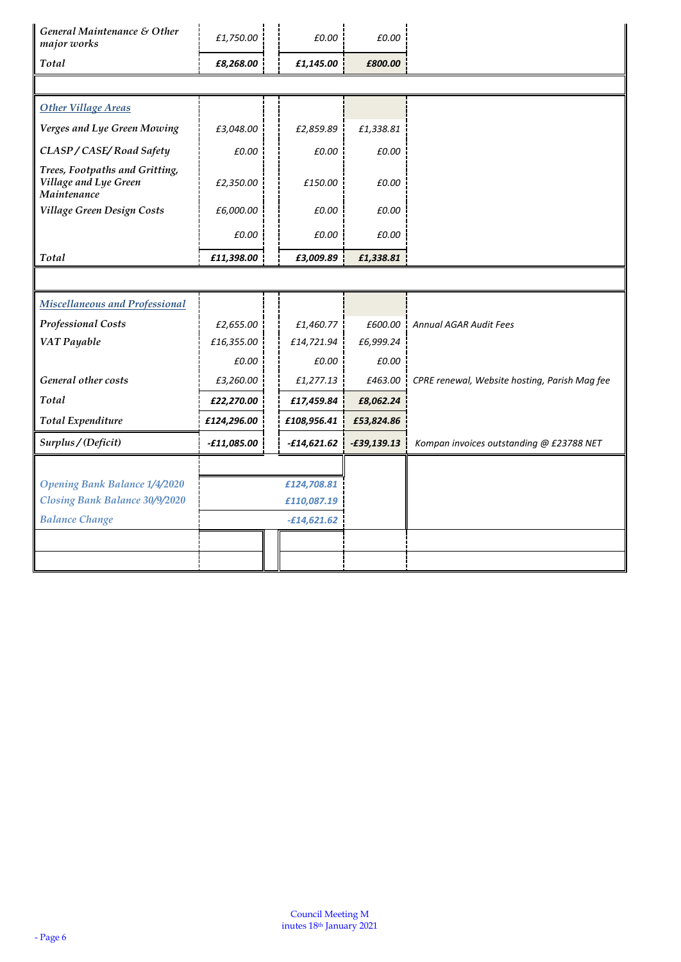| General Maintenance & Other<br>major works                             | £1,750.00          | £0.00         | £0.00         |                                               |
|------------------------------------------------------------------------|--------------------|---------------|---------------|-----------------------------------------------|
| Total                                                                  | £8,268.00          | £1,145.00     | £800.00       |                                               |
|                                                                        |                    |               |               |                                               |
| <b>Other Village Areas</b>                                             |                    |               |               |                                               |
| Verges and Lye Green Mowing                                            | £3,048.00          | £2,859.89     | £1,338.81     |                                               |
| CLASP / CASE/Road Safety                                               | £0.00              | £0.00         | £0.00         |                                               |
| Trees, Footpaths and Gritting,<br>Village and Lye Green<br>Maintenance | £2,350.00          | £150.00       | £0.00         |                                               |
| Village Green Design Costs                                             | £6,000.00          | £0.00         | £0.00         |                                               |
|                                                                        | £0.00              | £0.00         | £0.00         |                                               |
| Total                                                                  | £11,398.00         | £3,009.89     | £1,338.81     |                                               |
|                                                                        |                    |               |               |                                               |
| Miscellaneous and Professional                                         |                    |               |               |                                               |
| <b>Professional Costs</b>                                              | £2,655.00          | £1,460.77     | £600.00       | <b>Annual AGAR Audit Fees</b>                 |
| VAT Payable                                                            | £16,355.00         | £14,721.94    | £6,999.24     |                                               |
|                                                                        | £0.00              | £0.00         | £0.00         |                                               |
| General other costs                                                    | £3,260.00          | £1,277.13     | £463.00 !     | CPRE renewal, Website hosting, Parish Mag fee |
| Total                                                                  | £22,270.00         | £17,459.84    | £8,062.24     |                                               |
| <b>Total Expenditure</b>                                               | £124,296.00        | £108,956.41   | £53,824.86    |                                               |
| Surplus / (Deficit)                                                    | <b>-£11,085.00</b> | -£14,621.62   | $-£39,139.13$ | Kompan invoices outstanding @ £23788 NET      |
|                                                                        |                    |               |               |                                               |
| <b>Opening Bank Balance 1/4/2020</b>                                   |                    | £124,708.81   |               |                                               |
| Closing Bank Balance 30/9/2020                                         |                    | £110,087.19   |               |                                               |
| <b>Balance Change</b>                                                  |                    | $-£14,621.62$ |               |                                               |
|                                                                        |                    |               |               |                                               |
|                                                                        |                    |               |               |                                               |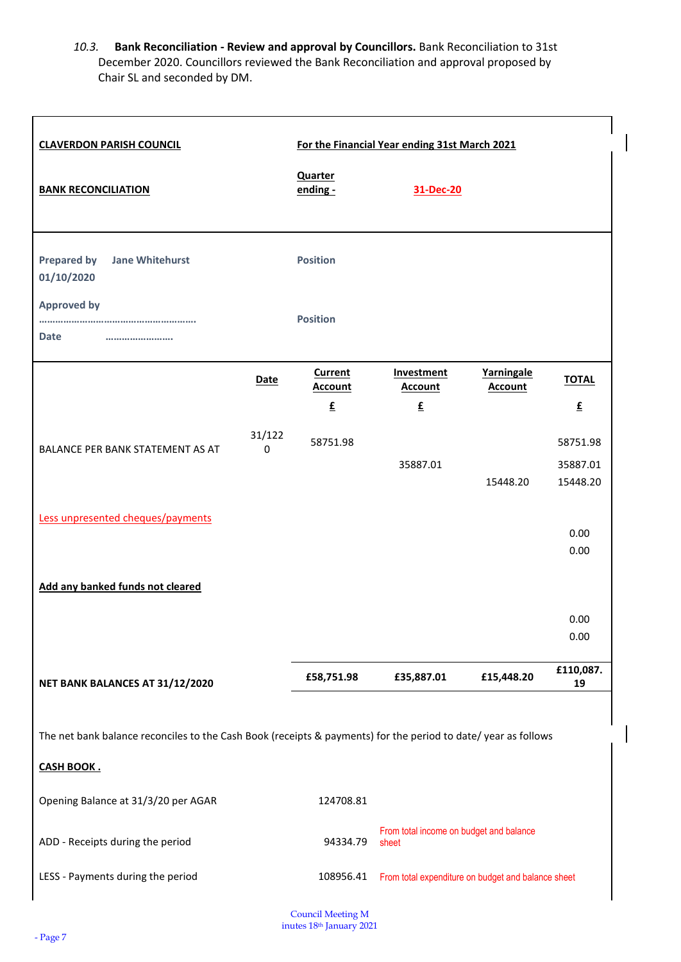*10.3.* **Bank Reconciliation - Review and approval by Councillors.** Bank Reconciliation to 31st December 2020. Councillors reviewed the Bank Reconciliation and approval proposed by Chair SL and seconded by DM.

 $\overline{\phantom{a}}$ 

| <b>CLAVERDON PARISH COUNCIL</b>                                                                               | For the Financial Year ending 31st March 2021 |                                                    |                                                  |                              |                 |  |  |  |
|---------------------------------------------------------------------------------------------------------------|-----------------------------------------------|----------------------------------------------------|--------------------------------------------------|------------------------------|-----------------|--|--|--|
| <b>BANK RECONCILIATION</b>                                                                                    |                                               | <b>Quarter</b><br>ending -                         | 31-Dec-20                                        |                              |                 |  |  |  |
| <b>Prepared by</b><br><b>Jane Whitehurst</b><br>01/10/2020                                                    |                                               | <b>Position</b>                                    |                                                  |                              |                 |  |  |  |
| <b>Approved by</b><br><b>Date</b><br>                                                                         |                                               | <b>Position</b>                                    |                                                  |                              |                 |  |  |  |
|                                                                                                               | <b>Date</b>                                   | <b>Current</b><br><b>Account</b>                   | Investment<br><b>Account</b>                     | Yarningale<br><b>Account</b> | <b>TOTAL</b>    |  |  |  |
|                                                                                                               |                                               | £                                                  | E                                                |                              | £               |  |  |  |
| BALANCE PER BANK STATEMENT AS AT                                                                              | 31/122<br>0                                   | 58751.98                                           |                                                  |                              | 58751.98        |  |  |  |
|                                                                                                               |                                               |                                                    | 35887.01                                         |                              | 35887.01        |  |  |  |
| Less unpresented cheques/payments                                                                             |                                               |                                                    |                                                  | 15448.20                     | 15448.20        |  |  |  |
|                                                                                                               |                                               |                                                    |                                                  |                              | 0.00            |  |  |  |
| Add any banked funds not cleared                                                                              |                                               |                                                    |                                                  |                              | 0.00            |  |  |  |
|                                                                                                               |                                               |                                                    |                                                  |                              |                 |  |  |  |
|                                                                                                               |                                               |                                                    |                                                  |                              | 0.00<br>0.00    |  |  |  |
| NET BANK BALANCES AT 31/12/2020                                                                               |                                               | £58,751.98                                         | £35,887.01                                       | £15,448.20                   | £110,087.<br>19 |  |  |  |
| The net bank balance reconciles to the Cash Book (receipts & payments) for the period to date/year as follows |                                               |                                                    |                                                  |                              |                 |  |  |  |
| <b>CASH BOOK.</b>                                                                                             |                                               |                                                    |                                                  |                              |                 |  |  |  |
| Opening Balance at 31/3/20 per AGAR                                                                           |                                               | 124708.81                                          |                                                  |                              |                 |  |  |  |
| ADD - Receipts during the period                                                                              |                                               | 94334.79                                           | From total income on budget and balance<br>sheet |                              |                 |  |  |  |
| LESS - Payments during the period                                                                             | 108956.41                                     | From total expenditure on budget and balance sheet |                                                  |                              |                 |  |  |  |